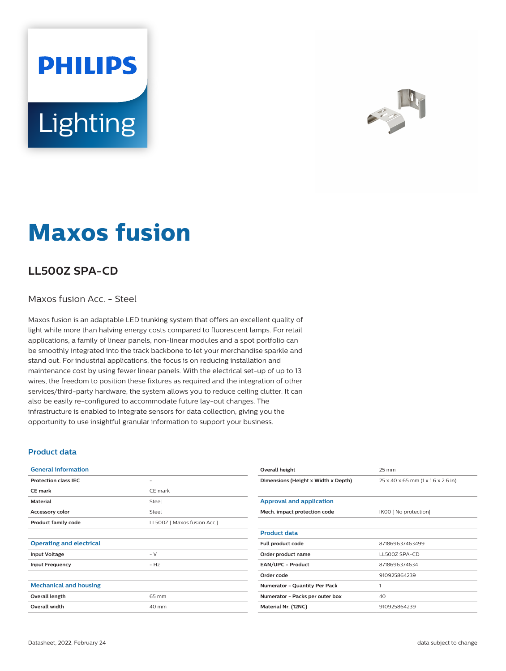# **PHILIPS Lighting**



## **Maxos fusion**

### **LL500Z SPA-CD**

#### Maxos fusion Acc. - Steel

Maxos fusion is an adaptable LED trunking system that offers an excellent quality of light while more than halving energy costs compared to fluorescent lamps. For retail applications, a family of linear panels, non-linear modules and a spot portfolio can be smoothly integrated into the track backbone to let your merchandise sparkle and stand out. For industrial applications, the focus is on reducing installation and maintenance cost by using fewer linear panels. With the electrical set-up of up to 13 wires, the freedom to position these fixtures as required and the integration of other services/third-party hardware, the system allows you to reduce ceiling clutter. It can also be easily re-configured to accommodate future lay-out changes. The infrastructure is enabled to integrate sensors for data collection, giving you the opportunity to use insightful granular information to support your business.

#### **Product data**

| <b>General information</b>      |                             |
|---------------------------------|-----------------------------|
| <b>Protection class IEC</b>     | -                           |
| <b>CE mark</b>                  | CE mark                     |
| <b>Material</b>                 | Steel                       |
| Accessory color                 | Steel                       |
| <b>Product family code</b>      | LL500Z   Maxos fusion Acc.] |
|                                 |                             |
| <b>Operating and electrical</b> |                             |
| <b>Input Voltage</b>            | $- V$                       |
| <b>Input Frequency</b>          | $- Hz$                      |
|                                 |                             |
| <b>Mechanical and housing</b>   |                             |
| Overall length                  | 65 mm                       |
| <b>Overall width</b>            | 40 mm                       |
|                                 |                             |

| Overall height                       | 25 mm                              |
|--------------------------------------|------------------------------------|
| Dimensions (Height x Width x Depth)  | 25 x 40 x 65 mm (1 x 1.6 x 2.6 in) |
|                                      |                                    |
| <b>Approval and application</b>      |                                    |
| Mech. impact protection code         | IK00 [ No protection]              |
|                                      |                                    |
| <b>Product data</b>                  |                                    |
| Full product code                    | 871869637463499                    |
| Order product name                   | LL500Z SPA-CD                      |
| <b>EAN/UPC - Product</b>             | 8718696374634                      |
| Order code                           | 910925864239                       |
| <b>Numerator - Quantity Per Pack</b> | 1                                  |
| Numerator - Packs per outer box      | 40                                 |
| Material Nr. (12NC)                  | 910925864239                       |
|                                      |                                    |